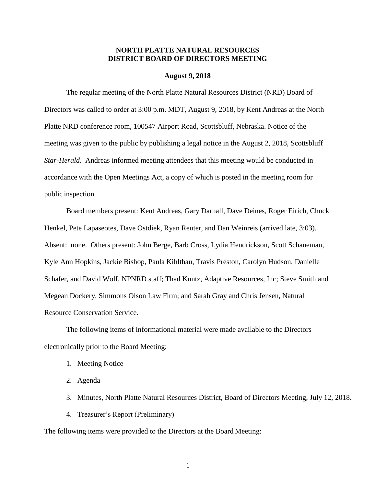# **NORTH PLATTE NATURAL RESOURCES DISTRICT BOARD OF DIRECTORS MEETING**

#### **August 9, 2018**

The regular meeting of the North Platte Natural Resources District (NRD) Board of Directors was called to order at 3:00 p.m. MDT, August 9, 2018, by Kent Andreas at the North Platte NRD conference room, 100547 Airport Road, Scottsbluff, Nebraska. Notice of the meeting was given to the public by publishing a legal notice in the August 2, 2018, Scottsbluff *Star-Herald*. Andreas informed meeting attendees that this meeting would be conducted in accordance with the Open Meetings Act, a copy of which is posted in the meeting room for public inspection.

Board members present: Kent Andreas, Gary Darnall, Dave Deines, Roger Eirich, Chuck Henkel, Pete Lapaseotes, Dave Ostdiek, Ryan Reuter, and Dan Weinreis (arrived late, 3:03). Absent: none. Others present: John Berge, Barb Cross, Lydia Hendrickson, Scott Schaneman, Kyle Ann Hopkins, Jackie Bishop, Paula Kihlthau, Travis Preston, Carolyn Hudson, Danielle Schafer, and David Wolf, NPNRD staff; Thad Kuntz, Adaptive Resources, Inc; Steve Smith and Megean Dockery, Simmons Olson Law Firm; and Sarah Gray and Chris Jensen, Natural Resource Conservation Service.

The following items of informational material were made available to the Directors electronically prior to the Board Meeting:

- 1. Meeting Notice
- 2. Agenda
- 3. Minutes, North Platte Natural Resources District, Board of Directors Meeting, July 12, 2018.
- 4. Treasurer's Report (Preliminary)

The following items were provided to the Directors at the Board Meeting: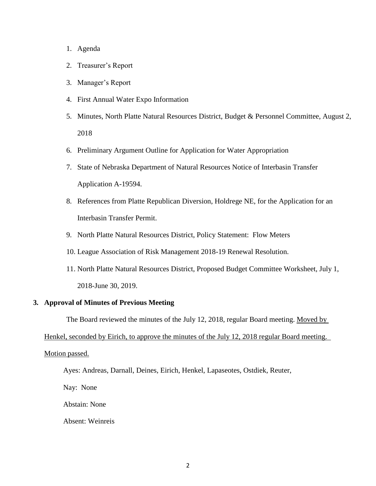## 1. Agenda

- 2. Treasurer's Report
- 3. Manager's Report
- 4. First Annual Water Expo Information
- 5. Minutes, North Platte Natural Resources District, Budget & Personnel Committee, August 2, 2018
- 6. Preliminary Argument Outline for Application for Water Appropriation
- 7. State of Nebraska Department of Natural Resources Notice of Interbasin Transfer Application A-19594.
- 8. References from Platte Republican Diversion, Holdrege NE, for the Application for an Interbasin Transfer Permit.
- 9. North Platte Natural Resources District, Policy Statement: Flow Meters
- 10. League Association of Risk Management 2018-19 Renewal Resolution.
- 11. North Platte Natural Resources District, Proposed Budget Committee Worksheet, July 1, 2018-June 30, 2019.

## **3. Approval of Minutes of Previous Meeting**

The Board reviewed the minutes of the July 12, 2018, regular Board meeting. Moved by

Henkel, seconded by Eirich, to approve the minutes of the July 12, 2018 regular Board meeting.

#### Motion passed.

Ayes: Andreas, Darnall, Deines, Eirich, Henkel, Lapaseotes, Ostdiek, Reuter,

Nay: None

Abstain: None

Absent: Weinreis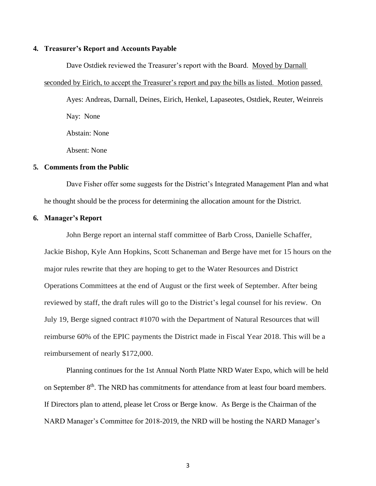#### **4. Treasurer's Report and Accounts Payable**

Dave Ostdiek reviewed the Treasurer's report with the Board. Moved by Darnall

seconded by Eirich, to accept the Treasurer's report and pay the bills as listed. Motion passed. Ayes: Andreas, Darnall, Deines, Eirich, Henkel, Lapaseotes, Ostdiek, Reuter, Weinreis Nay: None Abstain: None

Absent: None

#### **5. Comments from the Public**

Dave Fisher offer some suggests for the District's Integrated Management Plan and what he thought should be the process for determining the allocation amount for the District.

#### **6. Manager's Report**

John Berge report an internal staff committee of Barb Cross, Danielle Schaffer, Jackie Bishop, Kyle Ann Hopkins, Scott Schaneman and Berge have met for 15 hours on the major rules rewrite that they are hoping to get to the Water Resources and District Operations Committees at the end of August or the first week of September. After being reviewed by staff, the draft rules will go to the District's legal counsel for his review. On July 19, Berge signed contract #1070 with the Department of Natural Resources that will reimburse 60% of the EPIC payments the District made in Fiscal Year 2018. This will be a reimbursement of nearly \$172,000.

Planning continues for the 1st Annual North Platte NRD Water Expo, which will be held on September 8<sup>th</sup>. The NRD has commitments for attendance from at least four board members. If Directors plan to attend, please let Cross or Berge know. As Berge is the Chairman of the NARD Manager's Committee for 2018-2019, the NRD will be hosting the NARD Manager's

3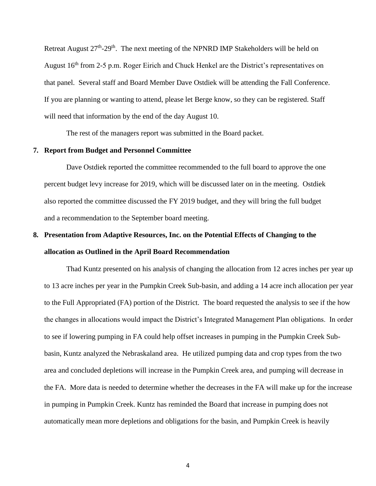Retreat August  $27<sup>th</sup> - 29<sup>th</sup>$ . The next meeting of the NPNRD IMP Stakeholders will be held on August 16<sup>th</sup> from 2-5 p.m. Roger Eirich and Chuck Henkel are the District's representatives on that panel. Several staff and Board Member Dave Ostdiek will be attending the Fall Conference. If you are planning or wanting to attend, please let Berge know, so they can be registered. Staff will need that information by the end of the day August 10.

The rest of the managers report was submitted in the Board packet.

#### **7. Report from Budget and Personnel Committee**

Dave Ostdiek reported the committee recommended to the full board to approve the one percent budget levy increase for 2019, which will be discussed later on in the meeting. Ostdiek also reported the committee discussed the FY 2019 budget, and they will bring the full budget and a recommendation to the September board meeting.

# **8. Presentation from Adaptive Resources, Inc. on the Potential Effects of Changing to the allocation as Outlined in the April Board Recommendation**

Thad Kuntz presented on his analysis of changing the allocation from 12 acres inches per year up to 13 acre inches per year in the Pumpkin Creek Sub-basin, and adding a 14 acre inch allocation per year to the Full Appropriated (FA) portion of the District. The board requested the analysis to see if the how the changes in allocations would impact the District's Integrated Management Plan obligations. In order to see if lowering pumping in FA could help offset increases in pumping in the Pumpkin Creek Subbasin, Kuntz analyzed the Nebraskaland area. He utilized pumping data and crop types from the two area and concluded depletions will increase in the Pumpkin Creek area, and pumping will decrease in the FA. More data is needed to determine whether the decreases in the FA will make up for the increase in pumping in Pumpkin Creek. Kuntz has reminded the Board that increase in pumping does not automatically mean more depletions and obligations for the basin, and Pumpkin Creek is heavily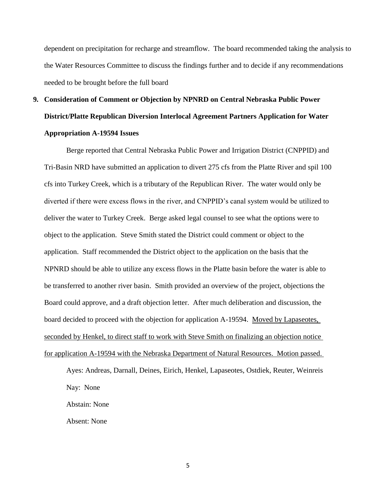dependent on precipitation for recharge and streamflow. The board recommended taking the analysis to the Water Resources Committee to discuss the findings further and to decide if any recommendations needed to be brought before the full board

# **9. Consideration of Comment or Objection by NPNRD on Central Nebraska Public Power District/Platte Republican Diversion Interlocal Agreement Partners Application for Water Appropriation A-19594 Issues**

Berge reported that Central Nebraska Public Power and Irrigation District (CNPPID) and Tri-Basin NRD have submitted an application to divert 275 cfs from the Platte River and spil 100 cfs into Turkey Creek, which is a tributary of the Republican River. The water would only be diverted if there were excess flows in the river, and CNPPID's canal system would be utilized to deliver the water to Turkey Creek. Berge asked legal counsel to see what the options were to object to the application. Steve Smith stated the District could comment or object to the application. Staff recommended the District object to the application on the basis that the NPNRD should be able to utilize any excess flows in the Platte basin before the water is able to be transferred to another river basin. Smith provided an overview of the project, objections the Board could approve, and a draft objection letter. After much deliberation and discussion, the board decided to proceed with the objection for application A-19594. Moved by Lapaseotes, seconded by Henkel, to direct staff to work with Steve Smith on finalizing an objection notice for application A-19594 with the Nebraska Department of Natural Resources. Motion passed.

Ayes: Andreas, Darnall, Deines, Eirich, Henkel, Lapaseotes, Ostdiek, Reuter, Weinreis Nay: None Abstain: None

Absent: None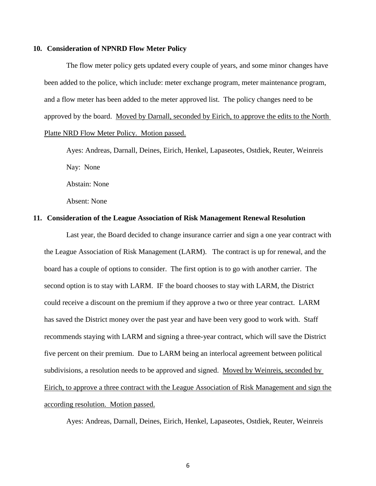#### **10. Consideration of NPNRD Flow Meter Policy**

The flow meter policy gets updated every couple of years, and some minor changes have been added to the police, which include: meter exchange program, meter maintenance program, and a flow meter has been added to the meter approved list. The policy changes need to be approved by the board. Moved by Darnall, seconded by Eirich, to approve the edits to the North Platte NRD Flow Meter Policy. Motion passed.

Ayes: Andreas, Darnall, Deines, Eirich, Henkel, Lapaseotes, Ostdiek, Reuter, Weinreis Nay: None Abstain: None Absent: None

#### **11. Consideration of the League Association of Risk Management Renewal Resolution**

Last year, the Board decided to change insurance carrier and sign a one year contract with the League Association of Risk Management (LARM). The contract is up for renewal, and the board has a couple of options to consider. The first option is to go with another carrier. The second option is to stay with LARM. IF the board chooses to stay with LARM, the District could receive a discount on the premium if they approve a two or three year contract. LARM has saved the District money over the past year and have been very good to work with. Staff recommends staying with LARM and signing a three-year contract, which will save the District five percent on their premium. Due to LARM being an interlocal agreement between political subdivisions, a resolution needs to be approved and signed. Moved by Weinreis, seconded by Eirich, to approve a three contract with the League Association of Risk Management and sign the according resolution. Motion passed.

Ayes: Andreas, Darnall, Deines, Eirich, Henkel, Lapaseotes, Ostdiek, Reuter, Weinreis